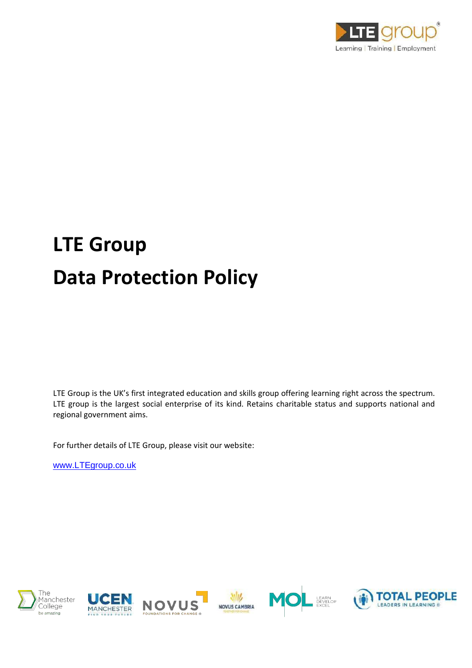

# **LTE Group Data Protection Policy**

LTE Group is the UK's first integrated education and skills group offering learning right across the spectrum. LTE group is the largest social enterprise of its kind. Retains charitable status and supports national and regional government aims.

For further details of LTE Group, please visit our website:

[www.LTEgroup.co.uk](http://www.ltegroup.co.uk/)









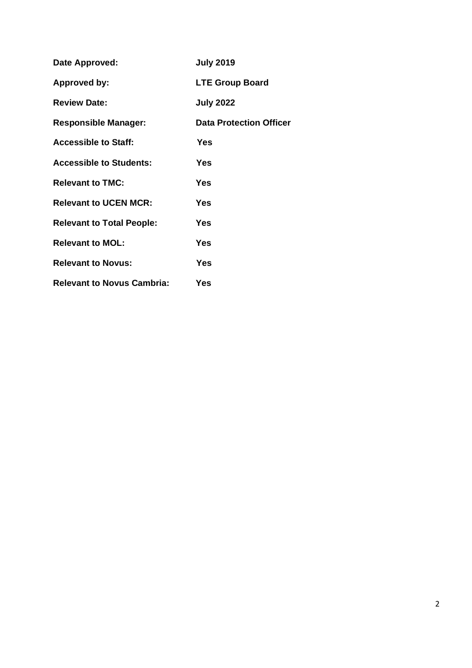| Date Approved:                    | <b>July 2019</b>               |
|-----------------------------------|--------------------------------|
| Approved by:                      | <b>LTE Group Board</b>         |
| <b>Review Date:</b>               | <b>July 2022</b>               |
| <b>Responsible Manager:</b>       | <b>Data Protection Officer</b> |
| <b>Accessible to Staff:</b>       | Yes                            |
| <b>Accessible to Students:</b>    | <b>Yes</b>                     |
| <b>Relevant to TMC:</b>           | Yes                            |
| <b>Relevant to UCEN MCR:</b>      | Yes                            |
| <b>Relevant to Total People:</b>  | Yes                            |
| <b>Relevant to MOL:</b>           | Yes                            |
| <b>Relevant to Novus:</b>         | Yes                            |
| <b>Relevant to Novus Cambria:</b> | Yes                            |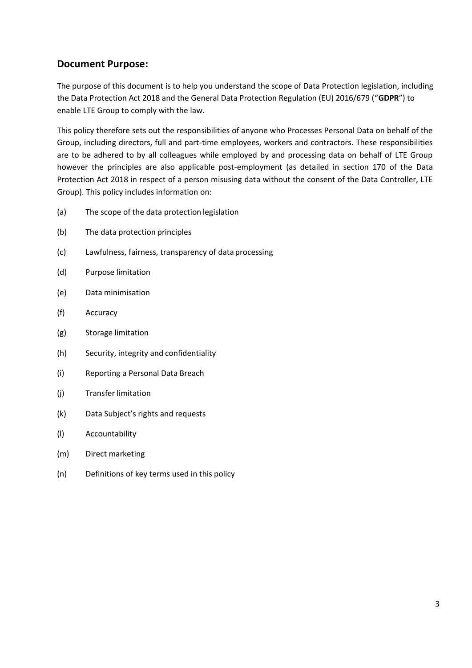## **Document Purpose:**

The purpose of this document is to help you understand the scope of Data Protection legislation, including the Data Protection Act 2018 and the General Data Protection Regulation (EU) 2016/679 ("**GDPR**") to enable LTE Group to comply with the law.

This policy therefore sets out the responsibilities of anyone who Processes Personal Data on behalf of the Group, including directors, full and part-time employees, workers and contractors. These responsibilities are to be adhered to by all colleagues while employed by and processing data on behalf of LTE Group however the principles are also applicable post-employment (as detailed in section 170 of the Data Protection Act 2018 in respect of a person misusing data without the consent of the Data Controller, LTE Group). This policy includes information on:

- (a) The scope of the data protection legislation
- (b) The data protection principles
- (c) Lawfulness, fairness, transparency of data processing
- (d) Purpose limitation
- (e) Data minimisation
- (f) Accuracy
- (g) Storage limitation
- (h) Security, integrity and confidentiality
- (i) Reporting a Personal Data Breach
- (j) Transfer limitation
- (k) Data Subject's rights and requests
- (l) Accountability
- (m) Direct marketing
- (n) Definitions of key terms used in this policy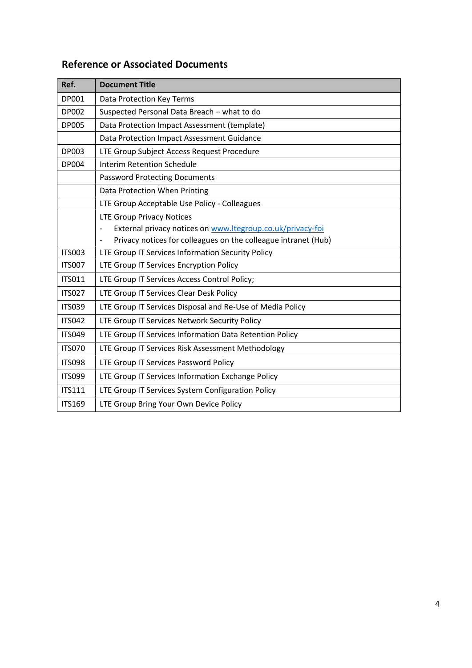## **Reference or Associated Documents**

| Ref.          | <b>Document Title</b>                                               |
|---------------|---------------------------------------------------------------------|
| DP001         | Data Protection Key Terms                                           |
| <b>DP002</b>  | Suspected Personal Data Breach - what to do                         |
| <b>DP005</b>  | Data Protection Impact Assessment (template)                        |
|               | Data Protection Impact Assessment Guidance                          |
| <b>DP003</b>  | LTE Group Subject Access Request Procedure                          |
| DP004         | <b>Interim Retention Schedule</b>                                   |
|               | <b>Password Protecting Documents</b>                                |
|               | Data Protection When Printing                                       |
|               | LTE Group Acceptable Use Policy - Colleagues                        |
|               | <b>LTE Group Privacy Notices</b>                                    |
|               | External privacy notices on www.ltegroup.co.uk/privacy-foi          |
|               | Privacy notices for colleagues on the colleague intranet (Hub)<br>- |
| <b>ITS003</b> | LTE Group IT Services Information Security Policy                   |
| <b>ITS007</b> | LTE Group IT Services Encryption Policy                             |
| <b>ITS011</b> | LTE Group IT Services Access Control Policy;                        |
| <b>ITS027</b> | LTE Group IT Services Clear Desk Policy                             |
| <b>ITS039</b> | LTE Group IT Services Disposal and Re-Use of Media Policy           |
| <b>ITS042</b> | LTE Group IT Services Network Security Policy                       |
| <b>ITS049</b> | LTE Group IT Services Information Data Retention Policy             |
| <b>ITS070</b> | LTE Group IT Services Risk Assessment Methodology                   |
| <b>ITS098</b> | LTE Group IT Services Password Policy                               |
| <b>ITS099</b> | LTE Group IT Services Information Exchange Policy                   |
| <b>ITS111</b> | LTE Group IT Services System Configuration Policy                   |
| <b>ITS169</b> | LTE Group Bring Your Own Device Policy                              |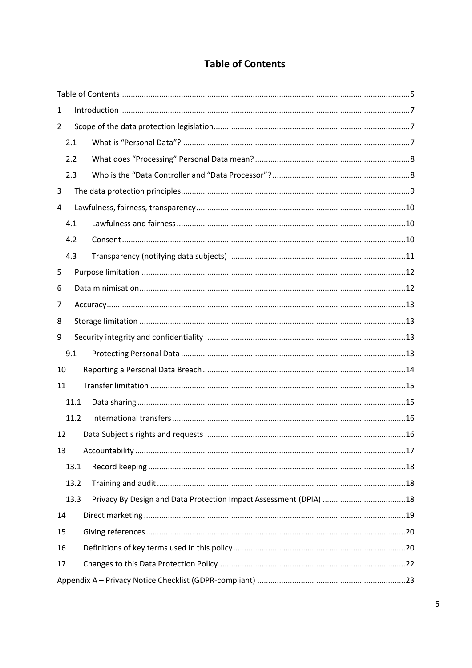## **Table of Contents**

| 1    |      |  |
|------|------|--|
| 2    |      |  |
| 2.1  |      |  |
| 2.2  |      |  |
| 2.3  |      |  |
| 3    |      |  |
| 4    |      |  |
| 4.1  |      |  |
| 4.2  |      |  |
| 4.3  |      |  |
| 5    |      |  |
| 6    |      |  |
| 7    |      |  |
| 8    |      |  |
| 9    |      |  |
| 9.1  |      |  |
| 10   |      |  |
| 11   |      |  |
|      | 11.1 |  |
|      | 11.2 |  |
| 12   |      |  |
| 13   |      |  |
| 13.1 |      |  |
|      | 13.2 |  |
|      | 13.3 |  |
| 14   |      |  |
| 15   |      |  |
| 16   |      |  |
| 17   |      |  |
|      |      |  |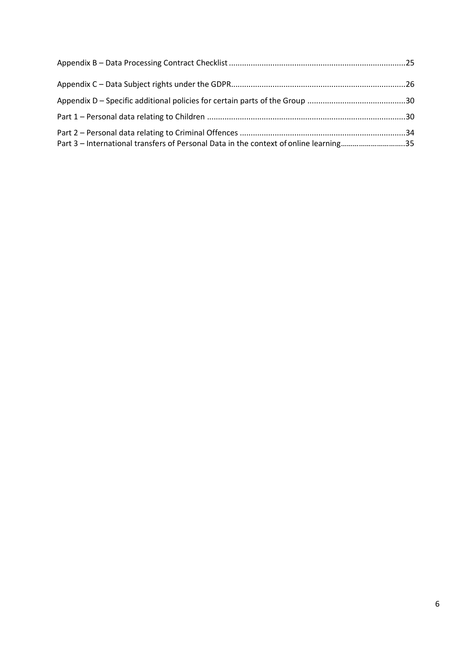| Part 3 – International transfers of Personal Data in the context of online learning35 |  |
|---------------------------------------------------------------------------------------|--|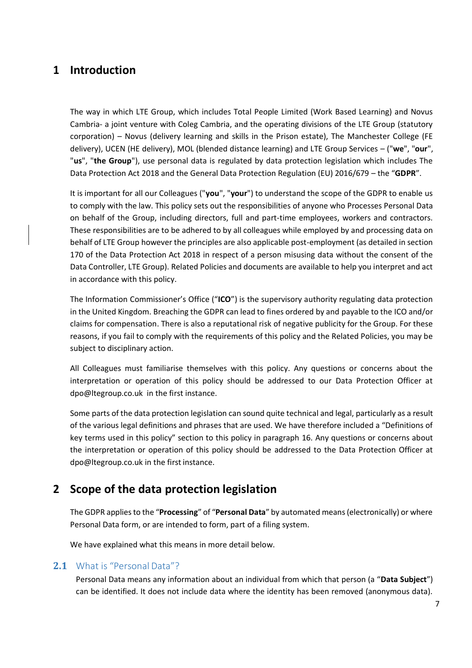# **1 Introduction**

The way in which LTE Group, which includes Total People Limited (Work Based Learning) and Novus Cambria- a joint venture with Coleg Cambria, and the operating divisions of the LTE Group (statutory corporation) – Novus (delivery learning and skills in the Prison estate), The Manchester College (FE delivery), UCEN (HE delivery), MOL (blended distance learning) and LTE Group Services – ("**we**", "**our**", "**us**", "**the Group**"), use personal data is regulated by data protection legislation which includes The Data Protection Act 2018 and the General Data Protection Regulation (EU) 2016/679 – the "**GDPR**".

It is important for all our Colleagues ("**you**", "**your**") to understand the scope of the GDPR to enable us to comply with the law. This policy sets out the responsibilities of anyone who Processes Personal Data on behalf of the Group, including directors, full and part-time employees, workers and contractors. These responsibilities are to be adhered to by all colleagues while employed by and processing data on behalf of LTE Group however the principles are also applicable post-employment (as detailed in section 170 of the Data Protection Act 2018 in respect of a person misusing data without the consent of the Data Controller, LTE Group). Related Policies and documents are available to help you interpret and act in accordance with this policy.

The Information Commissioner's Office ("**ICO**") is the supervisory authority regulating data protection in the United Kingdom. Breaching the GDPR can lead to fines ordered by and payable to the ICO and/or claims for compensation. There is also a reputational risk of negative publicity for the Group. For these reasons, if you fail to comply with the requirements of this policy and the Related Policies, you may be subject to disciplinary action.

All Colleagues must familiarise themselves with this policy. Any questions or concerns about the interpretation or operation of this policy should be addressed to our Data Protection Officer a[t](mailto:dpo@ltegroup.co.uk) [dpo@ltegroup.co.uk](mailto:dpo@ltegroup.co.uk) in the first instance.

Some parts of the data protection legislation can sound quite technical and legal, particularly as a result of the various legal definitions and phrases that are used. We have therefore included a "Definitions of key terms used in this policy" section to this policy in paragraph 16. Any questions or concerns about the interpretation or operation of this policy should be addressed to the Data Protection Officer at [dpo@ltegroup.co.uk i](mailto:dpo@ltegroup.co.uk)n the first instance.

# **2 Scope of the data protection legislation**

The GDPR applies to the "**Processing**" of "**Personal Data**" by automated means (electronically) or where Personal Data form, or are intended to form, part of a filing system.

We have explained what this means in more detail below.

#### <span id="page-6-0"></span>**2.1** What is "Personal Data"?

Personal Data means any information about an individual from which that person (a "**Data Subject**") can be identified. It does not include data where the identity has been removed (anonymous data).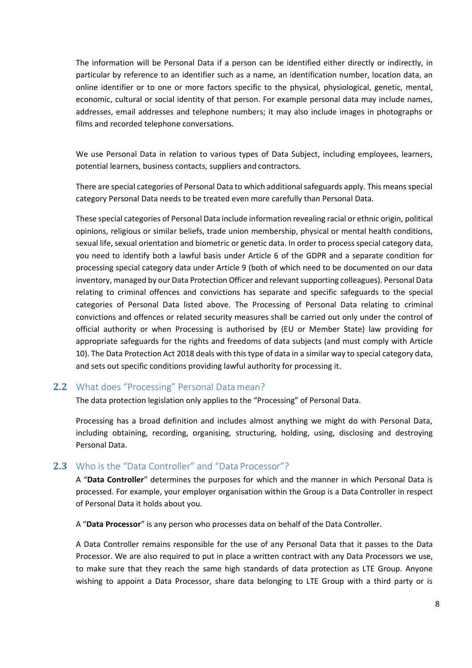The information will be Personal Data if a person can be identified either directly or indirectly, in particular by reference to an identifier such as a name, an identification number, location data, an online identifier or to one or more factors specific to the physical, physiological, genetic, mental, economic, cultural or social identity of that person. For example personal data may include names, addresses, email addresses and telephone numbers; it may also include images in photographs or films and recorded telephone conversations.

We use Personal Data in relation to various types of Data Subject, including employees, learners, potential learners, business contacts, suppliers and contractors.

There are special categories of Personal Data to which additional safeguards apply. This means special category Personal Data needs to be treated even more carefully than Personal Data.

These special categories of Personal Data include information revealing racial or ethnic origin, political opinions, religious or similar beliefs, trade union membership, physical or mental health conditions, sexual life, sexual orientation and biometric or genetic data. In order to process special category data, you need to identify both a lawful basis under Article 6 of the GDPR and a separate condition for processing special category data under Article 9 (both of which need to be documented on our data inventory, managed by our Data Protection Officer and relevant supporting colleagues). Personal Data relating to criminal offences and convictions has separate and specific safeguards to the special categories of Personal Data listed above. The Processing of Personal Data relating to criminal convictions and offences or related security measures shall be carried out only under the control of official authority or when Processing is authorised by (EU or Member State) law providing for appropriate safeguards for the rights and freedoms of data subjects (and must comply with Article 10). The Data Protection Act 2018 deals with this type of data in a similar way to special category data, and sets out specific conditions providing lawful authority for processing it.

#### **2.2** What does "Processing" Personal Data mean?

The data protection legislation only applies to the "Processing" of Personal Data.

Processing has a broad definition and includes almost anything we might do with Personal Data, including obtaining, recording, organising, structuring, holding, using, disclosing and destroying Personal Data.

#### <span id="page-7-0"></span>**2.3** Who is the "Data Controller" and "Data Processor"?

A "**Data Controller**" determines the purposes for which and the manner in which Personal Data is processed. For example, your employer organisation within the Group is a Data Controller in respect of Personal Data it holds about you.

A "**Data Processor**" is any person who processes data on behalf of the Data Controller.

A Data Controller remains responsible for the use of any Personal Data that it passes to the Data Processor. We are also required to put in place a written contract with any Data Processors we use, to make sure that they reach the same high standards of data protection as LTE Group. Anyone wishing to appoint a Data Processor, share data belonging to LTE Group with a third party or is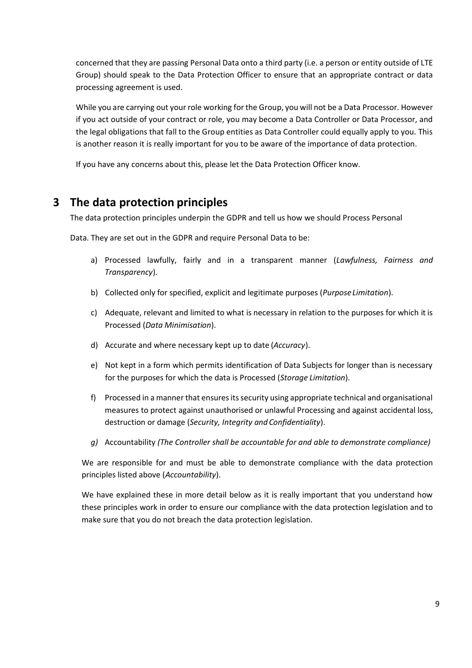concerned that they are passing Personal Data onto a third party (i.e. a person or entity outside of LTE Group) should speak to the Data Protection Officer to ensure that an appropriate contract or data processing agreement is used.

While you are carrying out your role working for the Group, you will not be a Data Processor. However if you act outside of your contract or role, you may become a Data Controller or Data Processor, and the legal obligations that fall to the Group entities as Data Controller could equally apply to you. This is another reason it is really important for you to be aware of the importance of data protection.

If you have any concerns about this, please let the Data Protection Officer know.

# **3 The data protection principles**

The data protection principles underpin the GDPR and tell us how we should Process Personal

Data. They are set out in the GDPR and require Personal Data to be:

- a) Processed lawfully, fairly and in a transparent manner (*Lawfulness, Fairness and Transparency*).
- b) Collected only for specified, explicit and legitimate purposes (*PurposeLimitation*).
- c) Adequate, relevant and limited to what is necessary in relation to the purposes for which it is Processed (*Data Minimisation*).
- d) Accurate and where necessary kept up to date (*Accuracy*).
- e) Not kept in a form which permits identification of Data Subjects for longer than is necessary for the purposes for which the data is Processed (*Storage Limitation*).
- f) Processed in a manner that ensures its security using appropriate technical and organisational measures to protect against unauthorised or unlawful Processing and against accidental loss, destruction or damage (*Security, Integrity and Confidentiality*).
- *g)* Accountability *(The Controller shall be accountable for and able to demonstrate compliance)*

We are responsible for and must be able to demonstrate compliance with the data protection principles listed above (*Accountability*).

We have explained these in more detail below as it is really important that you understand how these principles work in order to ensure our compliance with the data protection legislation and to make sure that you do not breach the data protection legislation.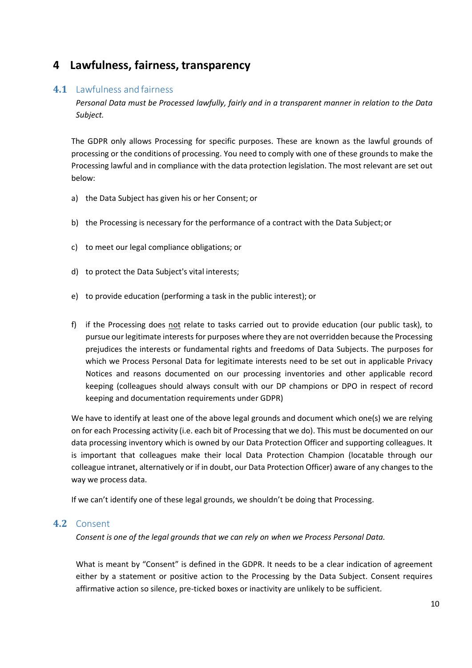## **4 Lawfulness, fairness, transparency**

#### <span id="page-9-0"></span>**4.1** Lawfulness and fairness

*Personal Data must be Processed lawfully, fairly and in a transparent manner in relation to the Data Subject.*

The GDPR only allows Processing for specific purposes. These are known as the lawful grounds of processing or the conditions of processing. You need to comply with one of these grounds to make the Processing lawful and in compliance with the data protection legislation. The most relevant are set out below:

- a) the Data Subject has given his or her Consent; or
- b) the Processing is necessary for the performance of a contract with the Data Subject;or
- c) to meet our legal compliance obligations; or
- d) to protect the Data Subject's vital interests;
- e) to provide education (performing a task in the public interest); or
- f) if the Processing does not relate to tasks carried out to provide education (our public task), to pursue our legitimate interests for purposes where they are not overridden because the Processing prejudices the interests or fundamental rights and freedoms of Data Subjects. The purposes for which we Process Personal Data for legitimate interests need to be set out in applicable Privacy Notices and reasons documented on our processing inventories and other applicable record keeping (colleagues should always consult with our DP champions or DPO in respect of record keeping and documentation requirements under GDPR)

We have to identify at least one of the above legal grounds and document which one(s) we are relying on for each Processing activity (i.e. each bit of Processing that we do). This must be documented on our data processing inventory which is owned by our Data Protection Officer and supporting colleagues. It is important that colleagues make their local Data Protection Champion (locatable through our colleague intranet, alternatively or if in doubt, our Data Protection Officer) aware of any changes to the way we process data.

If we can't identify one of these legal grounds, we shouldn't be doing that Processing.

#### **4.2** Consent

*Consent is one of the legal grounds that we can rely on when we Process Personal Data.*

What is meant by "Consent" is defined in the GDPR. It needs to be a clear indication of agreement either by a statement or positive action to the Processing by the Data Subject. Consent requires affirmative action so silence, pre-ticked boxes or inactivity are unlikely to be sufficient.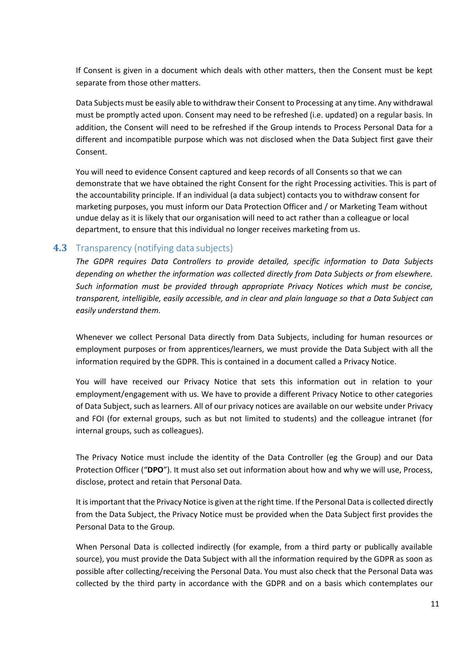If Consent is given in a document which deals with other matters, then the Consent must be kept separate from those other matters.

Data Subjects must be easily able to withdraw their Consent to Processing at any time. Any withdrawal must be promptly acted upon. Consent may need to be refreshed (i.e. updated) on a regular basis. In addition, the Consent will need to be refreshed if the Group intends to Process Personal Data for a different and incompatible purpose which was not disclosed when the Data Subject first gave their Consent.

You will need to evidence Consent captured and keep records of all Consents so that we can demonstrate that we have obtained the right Consent for the right Processing activities. This is part of the accountability principle. If an individual (a data subject) contacts you to withdraw consent for marketing purposes, you must inform our Data Protection Officer and / or Marketing Team without undue delay as it is likely that our organisation will need to act rather than a colleague or local department, to ensure that this individual no longer receives marketing from us.

#### **4.3** Transparency (notifying data subjects)

*The GDPR requires Data Controllers to provide detailed, specific information to Data Subjects depending on whether the information was collected directly from Data Subjects or from elsewhere. Such information must be provided through appropriate Privacy Notices which must be concise, transparent, intelligible, easily accessible, and in clear and plain language so that a Data Subject can easily understand them.*

Whenever we collect Personal Data directly from Data Subjects, including for human resources or employment purposes or from apprentices/learners, we must provide the Data Subject with all the information required by the GDPR. This is contained in a document called a Privacy Notice.

You will have received our Privacy Notice that sets this information out in relation to your employment/engagement with us. We have to provide a different Privacy Notice to other categories of Data Subject, such as learners. All of our privacy notices are available on our website under Privacy and FOI (for external groups, such as but not limited to students) and the colleague intranet (for internal groups, such as colleagues).

The Privacy Notice must include the identity of the Data Controller (eg the Group) and our Data Protection Officer ("**DPO**"). It must also set out information about how and why we will use, Process, disclose, protect and retain that Personal Data.

It is important that the Privacy Notice is given at the right time. If the Personal Data is collected directly from the Data Subject, the Privacy Notice must be provided when the Data Subject first provides the Personal Data to the Group.

When Personal Data is collected indirectly (for example, from a third party or publically available source), you must provide the Data Subject with all the information required by the GDPR as soon as possible after collecting/receiving the Personal Data. You must also check that the Personal Data was collected by the third party in accordance with the GDPR and on a basis which contemplates our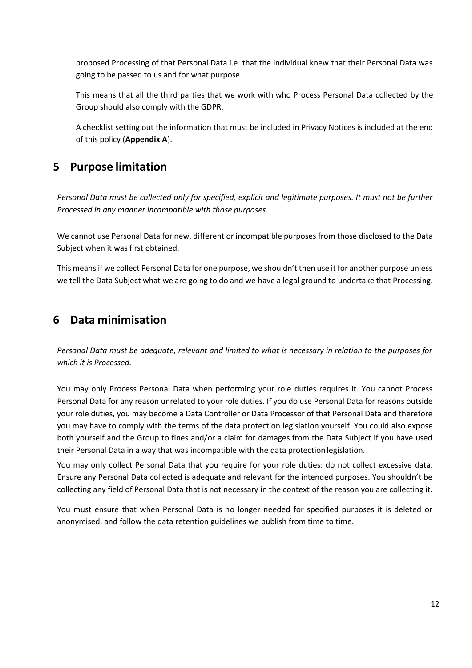proposed Processing of that Personal Data i.e. that the individual knew that their Personal Data was going to be passed to us and for what purpose.

This means that all the third parties that we work with who Process Personal Data collected by the Group should also comply with the GDPR.

A checklist setting out the information that must be included in Privacy Notices is included at the end of this policy (**Appendix A**).

# **5 Purpose limitation**

*Personal Data must be collected only for specified, explicit and legitimate purposes. It must not be further Processed in any manner incompatible with those purposes.*

We cannot use Personal Data for new, different or incompatible purposes from those disclosed to the Data Subject when it was first obtained.

This means if we collect Personal Data for one purpose, we shouldn't then use it for another purpose unless we tell the Data Subject what we are going to do and we have a legal ground to undertake that Processing.

# **6 Data minimisation**

*Personal Data must be adequate, relevant and limited to what is necessary in relation to the purposes for which it is Processed.*

You may only Process Personal Data when performing your role duties requires it. You cannot Process Personal Data for any reason unrelated to your role duties. If you do use Personal Data for reasons outside your role duties, you may become a Data Controller or Data Processor of that Personal Data and therefore you may have to comply with the terms of the data protection legislation yourself. You could also expose both yourself and the Group to fines and/or a claim for damages from the Data Subject if you have used their Personal Data in a way that was incompatible with the data protection legislation.

You may only collect Personal Data that you require for your role duties: do not collect excessive data. Ensure any Personal Data collected is adequate and relevant for the intended purposes. You shouldn't be collecting any field of Personal Data that is not necessary in the context of the reason you are collecting it.

You must ensure that when Personal Data is no longer needed for specified purposes it is deleted or anonymised, and follow the data retention guidelines we publish from time to time.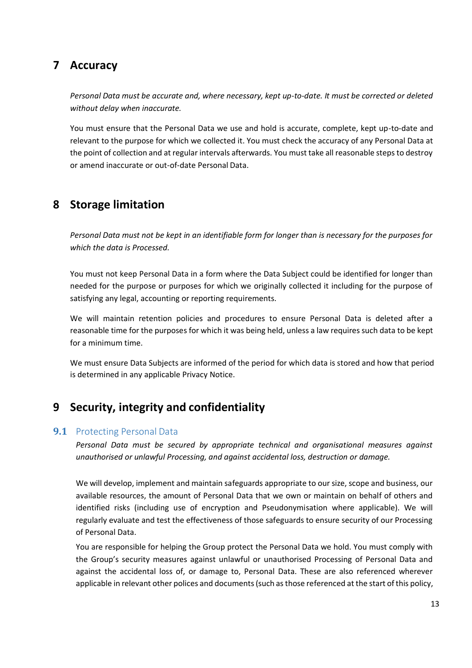## **7 Accuracy**

*Personal Data must be accurate and, where necessary, kept up-to-date. It must be corrected or deleted without delay when inaccurate.*

You must ensure that the Personal Data we use and hold is accurate, complete, kept up-to-date and relevant to the purpose for which we collected it. You must check the accuracy of any Personal Data at the point of collection and at regular intervals afterwards. You must take all reasonable steps to destroy or amend inaccurate or out-of-date Personal Data.

## **8 Storage limitation**

*Personal Data must not be kept in an identifiable form for longer than is necessary for the purposes for which the data is Processed.*

You must not keep Personal Data in a form where the Data Subject could be identified for longer than needed for the purpose or purposes for which we originally collected it including for the purpose of satisfying any legal, accounting or reporting requirements.

We will maintain retention policies and procedures to ensure Personal Data is deleted after a reasonable time for the purposes for which it was being held, unless a law requires such data to be kept for a minimum time.

We must ensure Data Subjects are informed of the period for which data is stored and how that period is determined in any applicable Privacy Notice.

# **9 Security, integrity and confidentiality**

#### <span id="page-12-0"></span>**9.1** Protecting Personal Data

*Personal Data must be secured by appropriate technical and organisational measures against unauthorised or unlawful Processing, and against accidental loss, destruction or damage.*

We will develop, implement and maintain safeguards appropriate to our size, scope and business, our available resources, the amount of Personal Data that we own or maintain on behalf of others and identified risks (including use of encryption and Pseudonymisation where applicable). We will regularly evaluate and test the effectiveness of those safeguards to ensure security of our Processing of Personal Data.

You are responsible for helping the Group protect the Personal Data we hold. You must comply with the Group's security measures against unlawful or unauthorised Processing of Personal Data and against the accidental loss of, or damage to, Personal Data. These are also referenced wherever applicable in relevant other polices and documents (such as those referenced at the start of this policy,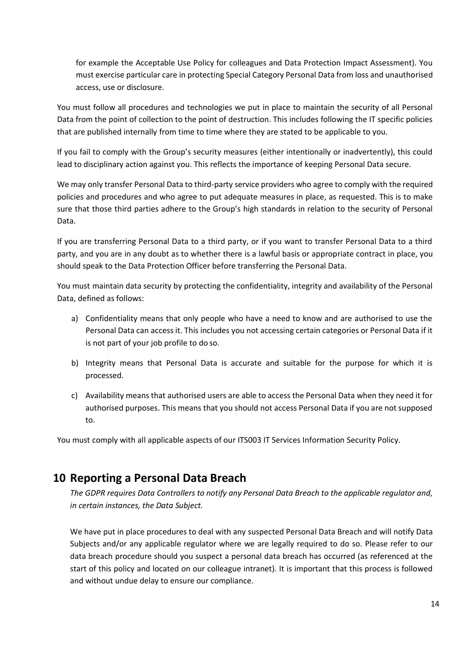for example the Acceptable Use Policy for colleagues and Data Protection Impact Assessment). You must exercise particular care in protecting Special Category Personal Data from loss and unauthorised access, use or disclosure.

You must follow all procedures and technologies we put in place to maintain the security of all Personal Data from the point of collection to the point of destruction. This includes following the IT specific policies that are published internally from time to time where they are stated to be applicable to you.

If you fail to comply with the Group's security measures (either intentionally or inadvertently), this could lead to disciplinary action against you. This reflects the importance of keeping Personal Data secure.

We may only transfer Personal Data to third-party service providers who agree to comply with the required policies and procedures and who agree to put adequate measures in place, as requested. This is to make sure that those third parties adhere to the Group's high standards in relation to the security of Personal Data.

If you are transferring Personal Data to a third party, or if you want to transfer Personal Data to a third party, and you are in any doubt as to whether there is a lawful basis or appropriate contract in place, you should speak to the Data Protection Officer before transferring the Personal Data.

You must maintain data security by protecting the confidentiality, integrity and availability of the Personal Data, defined as follows:

- a) Confidentiality means that only people who have a need to know and are authorised to use the Personal Data can access it. This includes you not accessing certain categories or Personal Data if it is not part of your job profile to do so.
- b) Integrity means that Personal Data is accurate and suitable for the purpose for which it is processed.
- c) Availability means that authorised users are able to access the Personal Data when they need it for authorised purposes. This means that you should not access Personal Data if you are not supposed to.

You must comply with all applicable aspects of our ITS003 IT Services Information Security Policy.

## **10 Reporting a Personal Data Breach**

*The GDPR requires Data Controllers to notify any Personal Data Breach to the applicable regulator and, in certain instances, the Data Subject.*

We have put in place procedures to deal with any suspected Personal Data Breach and will notify Data Subjects and/or any applicable regulator where we are legally required to do so. Please refer to our data breach procedure should you suspect a personal data breach has occurred (as referenced at the start of this policy and located on our colleague intranet). It is important that this process is followed and without undue delay to ensure our compliance.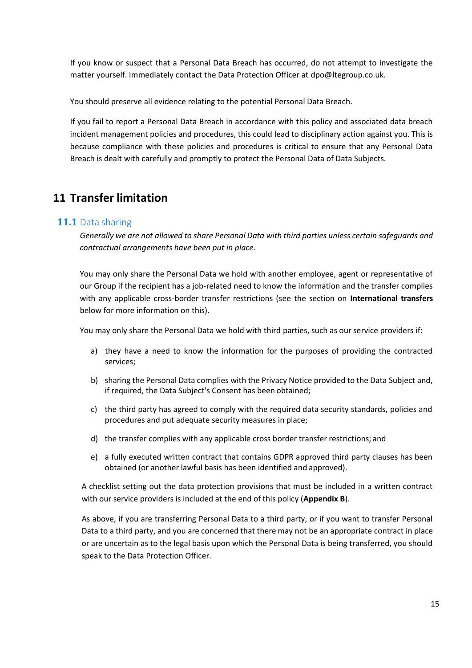If you know or suspect that a Personal Data Breach has occurred, do not attempt to investigate the matter yourself. Immediately contact the Data Protection Officer at [dpo@ltegroup.co.uk.](mailto:dpo@ltegroup.co.uk)

You should preserve all evidence relating to the potential Personal Data Breach.

If you fail to report a Personal Data Breach in accordance with this policy and associated data breach incident management policies and procedures, this could lead to disciplinary action against you. This is because compliance with these policies and procedures is critical to ensure that any Personal Data Breach is dealt with carefully and promptly to protect the Personal Data of Data Subjects.

## <span id="page-14-0"></span>**11 Transfer limitation**

#### **11.1** Data sharing

*Generally we are not allowed to share Personal Data with third parties unless certain safeguards and contractual arrangements have been put in place.*

You may only share the Personal Data we hold with another employee, agent or representative of our Group if the recipient has a job-related need to know the information and the transfer complies with any applicable cross-border transfer restrictions (see the section on **International transfers**  below for more information on this).

You may only share the Personal Data we hold with third parties, such as our service providers if:

- a) they have a need to know the information for the purposes of providing the contracted services;
- b) sharing the Personal Data complies with the Privacy Notice provided to the Data Subject and, if required, the Data Subject's Consent has been obtained;
- c) the third party has agreed to comply with the required data security standards, policies and procedures and put adequate security measures in place;
- d) the transfer complies with any applicable cross border transfer restrictions; and
- e) a fully executed written contract that contains GDPR approved third party clauses has been obtained (or another lawful basis has been identified and approved).

A checklist setting out the data protection provisions that must be included in a written contract with our service providers is included at the end of this policy (**Appendix B**).

As above, if you are transferring Personal Data to a third party, or if you want to transfer Personal Data to a third party, and you are concerned that there may not be an appropriate contract in place or are uncertain as to the legal basis upon which the Personal Data is being transferred, you should speak to the Data Protection Officer.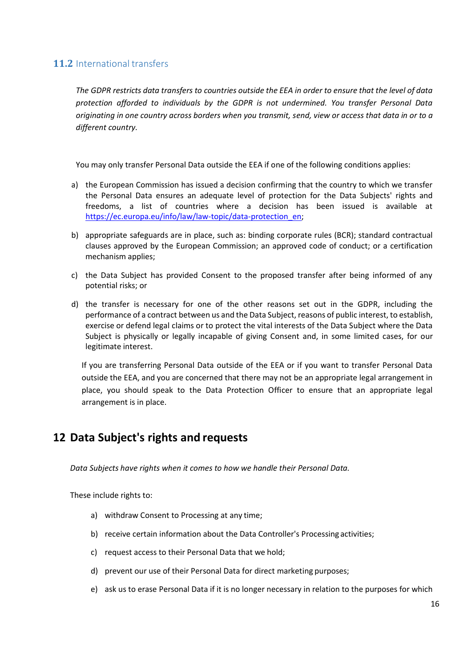## <span id="page-15-0"></span>**11.2** International transfers

*The GDPR restricts data transfers to countries outside the EEA in order to ensure that the level of data protection afforded to individuals by the GDPR is not undermined. You transfer Personal Data originating in one country across borders when you transmit, send, view or access that data in or to a different country.*

You may only transfer Personal Data outside the EEA if one of the following conditions applies:

- a) the European Commission has issued a decision confirming that the country to which we transfer the Personal Data ensures an adequate level of protection for the Data Subjects' rights and freedoms, a list of countries where a decision has been issued is available a[t](https://ec.europa.eu/info/law/law-topic/data-protection_en) [https://ec.europa.eu/info/law/law-topic/data-protection\\_en;](https://ec.europa.eu/info/law/law-topic/data-protection_en)
- b) appropriate safeguards are in place, such as: binding corporate rules (BCR); standard contractual clauses approved by the European Commission; an approved code of conduct; or a certification mechanism applies;
- c) the Data Subject has provided Consent to the proposed transfer after being informed of any potential risks; or
- d) the transfer is necessary for one of the other reasons set out in the GDPR, including the performance of a contract between us and the Data Subject, reasons of public interest, to establish, exercise or defend legal claims or to protect the vital interests of the Data Subject where the Data Subject is physically or legally incapable of giving Consent and, in some limited cases, for our legitimate interest.

If you are transferring Personal Data outside of the EEA or if you want to transfer Personal Data outside the EEA, and you are concerned that there may not be an appropriate legal arrangement in place, you should speak to the Data Protection Officer to ensure that an appropriate legal arrangement is in place.

## **12 Data Subject's rights and requests**

*Data Subjects have rights when it comes to how we handle their Personal Data.*

These include rights to:

- a) withdraw Consent to Processing at any time;
- b) receive certain information about the Data Controller's Processing activities;
- c) request access to their Personal Data that we hold;
- d) prevent our use of their Personal Data for direct marketing purposes;
- e) ask us to erase Personal Data if it is no longer necessary in relation to the purposes for which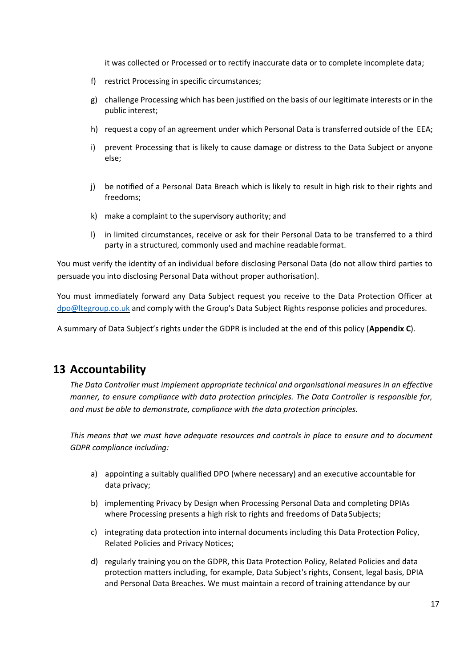it was collected or Processed or to rectify inaccurate data or to complete incomplete data;

- f) restrict Processing in specific circumstances;
- g) challenge Processing which has been justified on the basis of our legitimate interests or in the public interest;
- h) request a copy of an agreement under which Personal Data is transferred outside of the EEA;
- i) prevent Processing that is likely to cause damage or distress to the Data Subject or anyone else;
- j) be notified of a Personal Data Breach which is likely to result in high risk to their rights and freedoms;
- k) make a complaint to the supervisory authority; and
- l) in limited circumstances, receive or ask for their Personal Data to be transferred to a third party in a structured, commonly used and machine readable format.

You must verify the identity of an individual before disclosing Personal Data (do not allow third parties to persuade you into disclosing Personal Data without proper authorisation).

You must immediately forward any Data Subject request you receive to the Data Protection Officer at [dpo@ltegroup.co.uk](mailto:dpo@ltegroup.co.uk) and comply with the Group's Data Subject Rights response policies and procedures.

A summary of Data Subject's rights under the GDPR is included at the end of this policy (**Appendix C**).

## <span id="page-16-0"></span>**13 Accountability**

*The Data Controller must implement appropriate technical and organisational measures in an effective manner, to ensure compliance with data protection principles. The Data Controller is responsible for, and must be able to demonstrate, compliance with the data protection principles.*

*This means that we must have adequate resources and controls in place to ensure and to document GDPR compliance including:*

- a) appointing a suitably qualified DPO (where necessary) and an executive accountable for data privacy;
- b) implementing Privacy by Design when Processing Personal Data and completing DPIAs where Processing presents a high risk to rights and freedoms of Data Subjects;
- c) integrating data protection into internal documents including this Data Protection Policy, Related Policies and Privacy Notices;
- d) regularly training you on the GDPR, this Data Protection Policy, Related Policies and data protection matters including, for example, Data Subject's rights, Consent, legal basis, DPIA and Personal Data Breaches. We must maintain a record of training attendance by our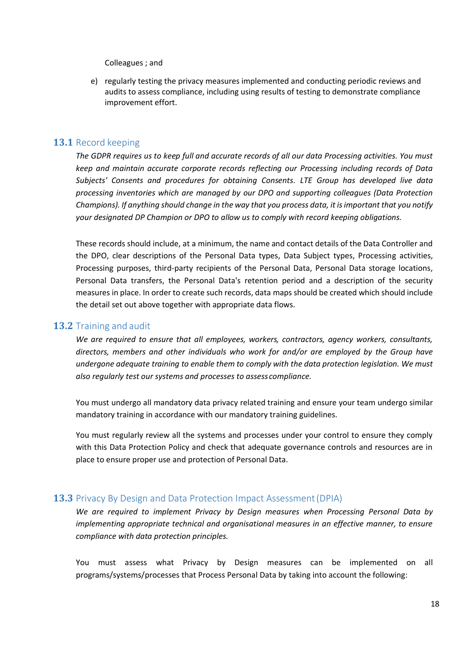Colleagues ; and

e) regularly testing the privacy measures implemented and conducting periodic reviews and audits to assess compliance, including using results of testing to demonstrate compliance improvement effort.

#### **13.1** Record keeping

*The GDPR requires us to keep full and accurate records of all our data Processing activities. You must keep and maintain accurate corporate records reflecting our Processing including records of Data Subjects' Consents and procedures for obtaining Consents. LTE Group has developed live data processing inventories which are managed by our DPO and supporting colleagues (Data Protection Champions). If anything should change in the way that you process data, it is important that you notify your designated DP Champion or DPO to allow us to comply with record keeping obligations.* 

These records should include, at a minimum, the name and contact details of the Data Controller and the DPO, clear descriptions of the Personal Data types, Data Subject types, Processing activities, Processing purposes, third-party recipients of the Personal Data, Personal Data storage locations, Personal Data transfers, the Personal Data's retention period and a description of the security measures in place. In order to create such records, data maps should be created which should include the detail set out above together with appropriate data flows.

#### <span id="page-17-0"></span>**13.2** Training and audit

*We are required to ensure that all employees, workers, contractors, agency workers, consultants, directors, members and other individuals who work for and/or are employed by the Group have undergone adequate training to enable them to comply with the data protection legislation. We must also regularly test our systems and processes to assess compliance.*

You must undergo all mandatory data privacy related training and ensure your team undergo similar mandatory training in accordance with our mandatory training guidelines.

You must regularly review all the systems and processes under your control to ensure they comply with this Data Protection Policy and check that adequate governance controls and resources are in place to ensure proper use and protection of Personal Data.

#### <span id="page-17-1"></span>**13.3** Privacy By Design and Data Protection Impact Assessment(DPIA)

*We are required to implement Privacy by Design measures when Processing Personal Data by implementing appropriate technical and organisational measures in an effective manner, to ensure compliance with data protection principles.*

You must assess what Privacy by Design measures can be implemented on all programs/systems/processes that Process Personal Data by taking into account the following: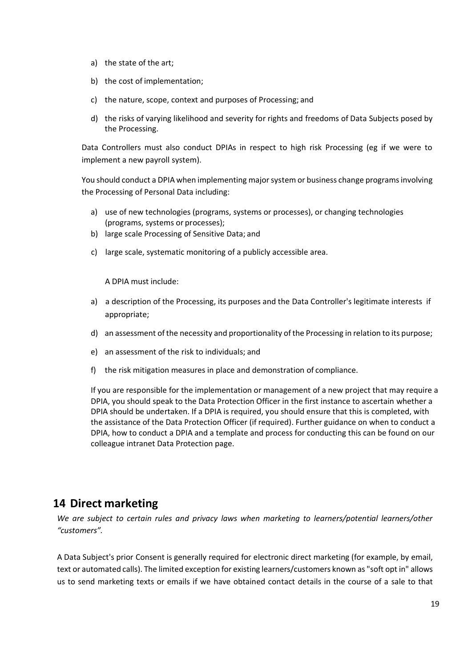- a) the state of the art;
- b) the cost of implementation;
- c) the nature, scope, context and purposes of Processing; and
- d) the risks of varying likelihood and severity for rights and freedoms of Data Subjects posed by the Processing.

Data Controllers must also conduct DPIAs in respect to high risk Processing (eg if we were to implement a new payroll system).

You should conduct a DPIA when implementing major system or business change programs involving the Processing of Personal Data including:

- a) use of new technologies (programs, systems or processes), or changing technologies (programs, systems or processes);
- b) large scale Processing of Sensitive Data; and
- c) large scale, systematic monitoring of a publicly accessible area.

A DPIA must include:

- a) a description of the Processing, its purposes and the Data Controller's legitimate interests if appropriate;
- d) an assessment of the necessity and proportionality of the Processing in relation to its purpose;
- e) an assessment of the risk to individuals; and
- f) the risk mitigation measures in place and demonstration of compliance.

If you are responsible for the implementation or management of a new project that may require a DPIA, you should speak to the Data Protection Officer in the first instance to ascertain whether a DPIA should be undertaken. If a DPIA is required, you should ensure that this is completed, with the assistance of the Data Protection Officer (if required). Further guidance on when to conduct a DPIA, how to conduct a DPIA and a template and process for conducting this can be found on our colleague intranet Data Protection page.

## **14 Direct marketing**

*We are subject to certain rules and privacy laws when marketing to learners/potential learners/other "customers".*

A Data Subject's prior Consent is generally required for electronic direct marketing (for example, by email, text or automated calls). The limited exception for existing learners/customers known as "soft opt in" allows us to send marketing texts or emails if we have obtained contact details in the course of a sale to that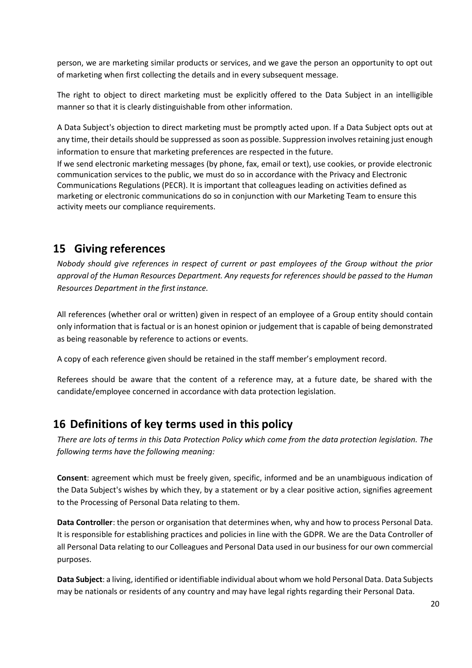person, we are marketing similar products or services, and we gave the person an opportunity to opt out of marketing when first collecting the details and in every subsequent message.

The right to object to direct marketing must be explicitly offered to the Data Subject in an intelligible manner so that it is clearly distinguishable from other information.

A Data Subject's objection to direct marketing must be promptly acted upon. If a Data Subject opts out at any time, their details should be suppressed as soon as possible. Suppression involves retaining just enough information to ensure that marketing preferences are respected in the future.

If we send electronic marketing messages (by phone, fax, email or text), use cookies, or provide electronic communication services to the public, we must do so in accordance with the Privacy and Electronic Communications Regulations (PECR). It is important that colleagues leading on activities defined as marketing or electronic communications do so in conjunction with our Marketing Team to ensure this activity meets our compliance requirements.

# **15 Giving references**

*Nobody should give references in respect of current or past employees of the Group without the prior approval of the Human Resources Department. Any requests for references should be passed to the Human Resources Department in the firstinstance.*

All references (whether oral or written) given in respect of an employee of a Group entity should contain only information that is factual or is an honest opinion or judgement that is capable of being demonstrated as being reasonable by reference to actions or events.

A copy of each reference given should be retained in the staff member's employment record.

Referees should be aware that the content of a reference may, at a future date, be shared with the candidate/employee concerned in accordance with data protection legislation.

# **16 Definitions of key terms used in this policy**

*There are lots of terms in this Data Protection Policy which come from the data protection legislation. The following terms have the following meaning:*

**Consent**: agreement which must be freely given, specific, informed and be an unambiguous indication of the Data Subject's wishes by which they, by a statement or by a clear positive action, signifies agreement to the Processing of Personal Data relating to them.

**Data Controller**: the person or organisation that determines when, why and how to process Personal Data. It is responsible for establishing practices and policies in line with the GDPR. We are the Data Controller of all Personal Data relating to our Colleagues and Personal Data used in our business for our own commercial purposes.

**Data Subject**: a living, identified or identifiable individual about whom we hold Personal Data. Data Subjects may be nationals or residents of any country and may have legal rights regarding their Personal Data.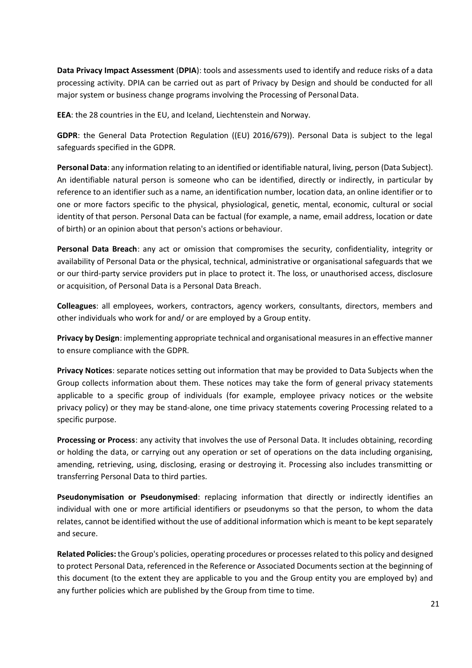**Data Privacy Impact Assessment** (**DPIA**): tools and assessments used to identify and reduce risks of a data processing activity. DPIA can be carried out as part of Privacy by Design and should be conducted for all major system or business change programs involving the Processing of PersonalData.

**EEA**: the 28 countries in the EU, and Iceland, Liechtenstein and Norway.

**GDPR**: the General Data Protection Regulation ((EU) 2016/679)). Personal Data is subject to the legal safeguards specified in the GDPR.

**Personal Data**: any information relating to an identified or identifiable natural, living, person (Data Subject). An identifiable natural person is someone who can be identified, directly or indirectly, in particular by reference to an identifier such as a name, an identification number, location data, an online identifier or to one or more factors specific to the physical, physiological, genetic, mental, economic, cultural or social identity of that person. Personal Data can be factual (for example, a name, email address, location or date of birth) or an opinion about that person's actions orbehaviour.

**Personal Data Breach**: any act or omission that compromises the security, confidentiality, integrity or availability of Personal Data or the physical, technical, administrative or organisational safeguards that we or our third-party service providers put in place to protect it. The loss, or unauthorised access, disclosure or acquisition, of Personal Data is a Personal Data Breach.

**Colleagues**: all employees, workers, contractors, agency workers, consultants, directors, members and other individuals who work for and/ or are employed by a Group entity.

**Privacy by Design**: implementing appropriate technical and organisational measures in an effective manner to ensure compliance with the GDPR.

**Privacy Notices**: separate notices setting out information that may be provided to Data Subjects when the Group collects information about them. These notices may take the form of general privacy statements applicable to a specific group of individuals (for example, employee privacy notices or the website privacy policy) or they may be stand-alone, one time privacy statements covering Processing related to a specific purpose.

**Processing or Process**: any activity that involves the use of Personal Data. It includes obtaining, recording or holding the data, or carrying out any operation or set of operations on the data including organising, amending, retrieving, using, disclosing, erasing or destroying it. Processing also includes transmitting or transferring Personal Data to third parties.

**Pseudonymisation or Pseudonymised**: replacing information that directly or indirectly identifies an individual with one or more artificial identifiers or pseudonyms so that the person, to whom the data relates, cannot be identified without the use of additional information which is meant to be kept separately and secure.

**Related Policies:** the Group's policies, operating procedures or processes related to this policy and designed to protect Personal Data, referenced in the Reference or Associated Documents section at the beginning of this document (to the extent they are applicable to you and the Group entity you are employed by) and any further policies which are published by the Group from time to time.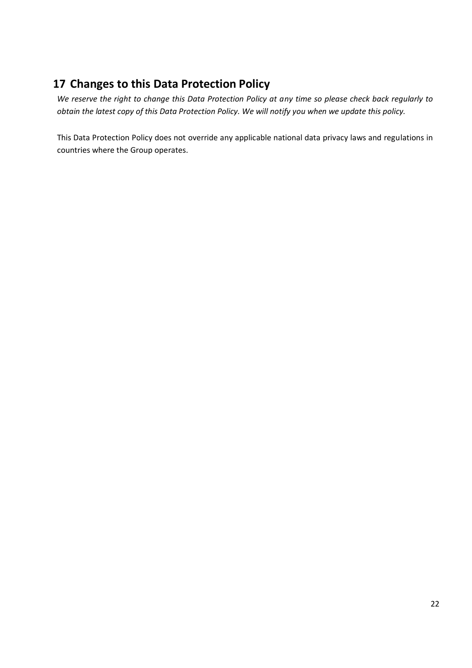# **17 Changes to this Data Protection Policy**

*We reserve the right to change this Data Protection Policy at any time so please check back regularly to obtain the latest copy of this Data Protection Policy. We will notify you when we update this policy.*

This Data Protection Policy does not override any applicable national data privacy laws and regulations in countries where the Group operates.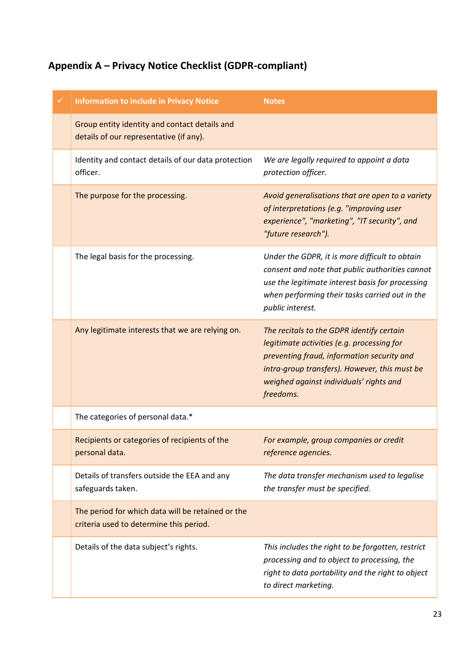# **Appendix A – Privacy Notice Checklist (GDPR-compliant)**

| <b>Information to include in Privacy Notice</b>                                              | <b>Notes</b>                                                                                                                                                                                                                                   |
|----------------------------------------------------------------------------------------------|------------------------------------------------------------------------------------------------------------------------------------------------------------------------------------------------------------------------------------------------|
| Group entity identity and contact details and<br>details of our representative (if any).     |                                                                                                                                                                                                                                                |
| Identity and contact details of our data protection<br>officer.                              | We are legally required to appoint a data<br>protection officer.                                                                                                                                                                               |
| The purpose for the processing.                                                              | Avoid generalisations that are open to a variety<br>of interpretations (e.g. "improving user<br>experience", "marketing", "IT security", and<br>"future research").                                                                            |
| The legal basis for the processing.                                                          | Under the GDPR, it is more difficult to obtain<br>consent and note that public authorities cannot<br>use the legitimate interest basis for processing<br>when performing their tasks carried out in the<br>public interest.                    |
| Any legitimate interests that we are relying on.                                             | The recitals to the GDPR identify certain<br>legitimate activities (e.g. processing for<br>preventing fraud, information security and<br>intra-group transfers). However, this must be<br>weighed against individuals' rights and<br>freedoms. |
| The categories of personal data.*                                                            |                                                                                                                                                                                                                                                |
| Recipients or categories of recipients of the<br>personal data.                              | For example, group companies or credit<br>reference agencies.                                                                                                                                                                                  |
| Details of transfers outside the EEA and any<br>safeguards taken.                            | The data transfer mechanism used to legalise<br>the transfer must be specified.                                                                                                                                                                |
| The period for which data will be retained or the<br>criteria used to determine this period. |                                                                                                                                                                                                                                                |
| Details of the data subject's rights.                                                        | This includes the right to be forgotten, restrict<br>processing and to object to processing, the<br>right to data portability and the right to object<br>to direct marketing.                                                                  |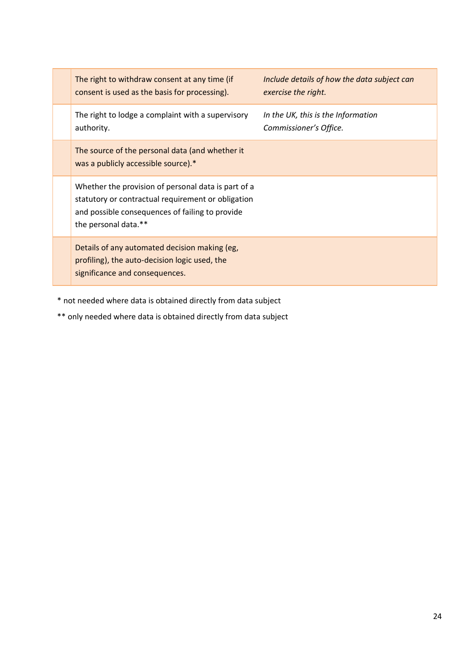| The right to withdraw consent at any time (if<br>consent is used as the basis for processing).                                                                                       | Include details of how the data subject can<br>exercise the right. |
|--------------------------------------------------------------------------------------------------------------------------------------------------------------------------------------|--------------------------------------------------------------------|
| The right to lodge a complaint with a supervisory<br>authority.                                                                                                                      | In the UK, this is the Information<br>Commissioner's Office.       |
| The source of the personal data (and whether it<br>was a publicly accessible source).*                                                                                               |                                                                    |
| Whether the provision of personal data is part of a<br>statutory or contractual requirement or obligation<br>and possible consequences of failing to provide<br>the personal data.** |                                                                    |
| Details of any automated decision making (eg,<br>profiling), the auto-decision logic used, the<br>significance and consequences.                                                     |                                                                    |

\* not needed where data is obtained directly from data subject

\*\* only needed where data is obtained directly from data subject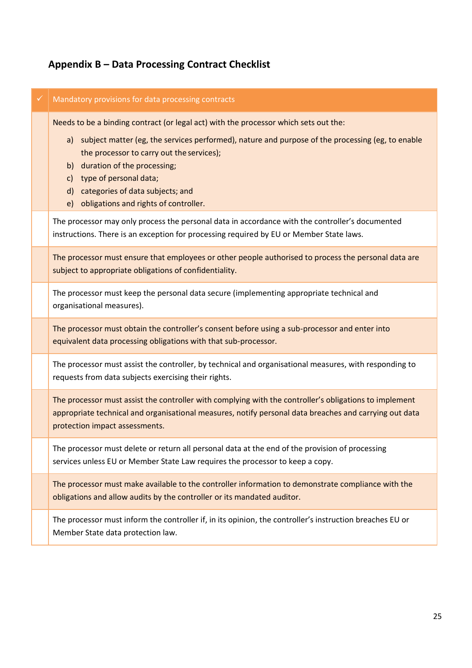# **Appendix B – Data Processing Contract Checklist**

| ✓ | Mandatory provisions for data processing contracts                                                                                                                                                                                                                                                                                                                                         |
|---|--------------------------------------------------------------------------------------------------------------------------------------------------------------------------------------------------------------------------------------------------------------------------------------------------------------------------------------------------------------------------------------------|
|   | Needs to be a binding contract (or legal act) with the processor which sets out the:<br>a) subject matter (eg, the services performed), nature and purpose of the processing (eg, to enable<br>the processor to carry out the services);<br>b) duration of the processing;<br>c) type of personal data;<br>d) categories of data subjects; and<br>e) obligations and rights of controller. |
|   | The processor may only process the personal data in accordance with the controller's documented<br>instructions. There is an exception for processing required by EU or Member State laws.                                                                                                                                                                                                 |
|   | The processor must ensure that employees or other people authorised to process the personal data are<br>subject to appropriate obligations of confidentiality.                                                                                                                                                                                                                             |
|   | The processor must keep the personal data secure (implementing appropriate technical and<br>organisational measures).                                                                                                                                                                                                                                                                      |
|   | The processor must obtain the controller's consent before using a sub-processor and enter into<br>equivalent data processing obligations with that sub-processor.                                                                                                                                                                                                                          |
|   | The processor must assist the controller, by technical and organisational measures, with responding to<br>requests from data subjects exercising their rights.                                                                                                                                                                                                                             |
|   | The processor must assist the controller with complying with the controller's obligations to implement<br>appropriate technical and organisational measures, notify personal data breaches and carrying out data<br>protection impact assessments.                                                                                                                                         |
|   | The processor must delete or return all personal data at the end of the provision of processing<br>services unless EU or Member State Law requires the processor to keep a copy.                                                                                                                                                                                                           |
|   | The processor must make available to the controller information to demonstrate compliance with the<br>obligations and allow audits by the controller or its mandated auditor.                                                                                                                                                                                                              |
|   | The processor must inform the controller if, in its opinion, the controller's instruction breaches EU or<br>Member State data protection law.                                                                                                                                                                                                                                              |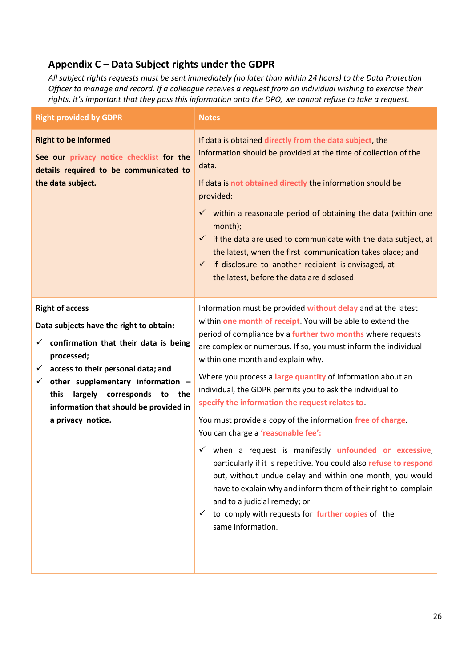## **Appendix C – Data Subject rights under the GDPR**

*All subject rights requests must be sent immediately (no later than within 24 hours) to the Data Protection Officer to manage and record. If a colleague receives a request from an individual wishing to exercise their rights, it's important that they pass this information onto the DPO, we cannot refuse to take a request.* 

| <b>Right provided by GDPR</b>                                                                                                                                                                                                                                                                                                               | <b>Notes</b>                                                                                                                                                                                                                                                                                                                                                                                                                                                                                                                                                                                                                                                                                                                                                                                                                                                                                                                                                                                 |
|---------------------------------------------------------------------------------------------------------------------------------------------------------------------------------------------------------------------------------------------------------------------------------------------------------------------------------------------|----------------------------------------------------------------------------------------------------------------------------------------------------------------------------------------------------------------------------------------------------------------------------------------------------------------------------------------------------------------------------------------------------------------------------------------------------------------------------------------------------------------------------------------------------------------------------------------------------------------------------------------------------------------------------------------------------------------------------------------------------------------------------------------------------------------------------------------------------------------------------------------------------------------------------------------------------------------------------------------------|
| <b>Right to be informed</b><br>See our privacy notice checklist for the<br>details required to be communicated to<br>the data subject.                                                                                                                                                                                                      | If data is obtained directly from the data subject, the<br>information should be provided at the time of collection of the<br>data.<br>If data is not obtained directly the information should be<br>provided:<br>$\checkmark$ within a reasonable period of obtaining the data (within one<br>month);<br>if the data are used to communicate with the data subject, at<br>$\checkmark$<br>the latest, when the first communication takes place; and<br>$\checkmark$ if disclosure to another recipient is envisaged, at<br>the latest, before the data are disclosed.                                                                                                                                                                                                                                                                                                                                                                                                                       |
| <b>Right of access</b><br>Data subjects have the right to obtain:<br>confirmation that their data is being<br>✓<br>processed;<br>access to their personal data; and<br>$\checkmark$<br>other supplementary information -<br>✓<br>corresponds<br>this<br>largely<br>to<br>the<br>information that should be provided in<br>a privacy notice. | Information must be provided without delay and at the latest<br>within one month of receipt. You will be able to extend the<br>period of compliance by a further two months where requests<br>are complex or numerous. If so, you must inform the individual<br>within one month and explain why.<br>Where you process a large quantity of information about an<br>individual, the GDPR permits you to ask the individual to<br>specify the information the request relates to<br>You must provide a copy of the information free of charge.<br>You can charge a 'reasonable fee':<br>when a request is manifestly <i>unfounded</i> or excessive,<br>$\checkmark$<br>particularly if it is repetitive. You could also refuse to respond<br>but, without undue delay and within one month, you would<br>have to explain why and inform them of their right to complain<br>and to a judicial remedy; or<br>$\checkmark$ to comply with requests for further copies of the<br>same information. |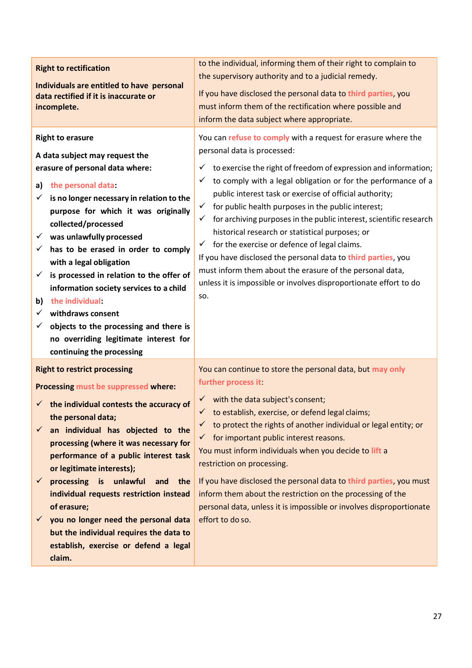| <b>Right to rectification</b><br>Individuals are entitled to have personal<br>data rectified if it is inaccurate or<br>incomplete.                                                                                                                                                                                                                                                                                                                                                                                                                                                                                                      | to the individual, informing them of their right to complain to<br>the supervisory authority and to a judicial remedy.<br>If you have disclosed the personal data to third parties, you<br>must inform them of the rectification where possible and<br>inform the data subject where appropriate.                                                                                                                                                                                                                                                                                                                                                                                                                                                                                                    |
|-----------------------------------------------------------------------------------------------------------------------------------------------------------------------------------------------------------------------------------------------------------------------------------------------------------------------------------------------------------------------------------------------------------------------------------------------------------------------------------------------------------------------------------------------------------------------------------------------------------------------------------------|------------------------------------------------------------------------------------------------------------------------------------------------------------------------------------------------------------------------------------------------------------------------------------------------------------------------------------------------------------------------------------------------------------------------------------------------------------------------------------------------------------------------------------------------------------------------------------------------------------------------------------------------------------------------------------------------------------------------------------------------------------------------------------------------------|
| <b>Right to erasure</b><br>A data subject may request the<br>erasure of personal data where:<br>the personal data:<br>a)<br>is no longer necessary in relation to the<br>✓<br>purpose for which it was originally<br>collected/processed<br>$\checkmark$ was unlawfully processed<br>has to be erased in order to comply<br>✓<br>with a legal obligation<br>is processed in relation to the offer of<br>$\checkmark$<br>information society services to a child<br>the individual:<br>b)<br>withdraws consent<br>✓<br>objects to the processing and there is<br>✓<br>no overriding legitimate interest for<br>continuing the processing | You can refuse to comply with a request for erasure where the<br>personal data is processed:<br>$\checkmark$ to exercise the right of freedom of expression and information;<br>$\checkmark$ to comply with a legal obligation or for the performance of a<br>public interest task or exercise of official authority;<br>$\checkmark$ for public health purposes in the public interest;<br>$\checkmark$ for archiving purposes in the public interest, scientific research<br>historical research or statistical purposes; or<br>$\checkmark$ for the exercise or defence of legal claims.<br>If you have disclosed the personal data to third parties, you<br>must inform them about the erasure of the personal data,<br>unless it is impossible or involves disproportionate effort to do<br>SO. |
| <b>Right to restrict processing</b><br>Processing must be suppressed where:<br>$\checkmark$ the individual contests the accuracy of<br>the personal data;<br>an individual has objected to the<br>processing (where it was necessary for<br>performance of a public interest task<br>or legitimate interests);<br>processing is unlawful<br>and the<br>$\checkmark$<br>individual requests restriction instead<br>of erasure;<br>you no longer need the personal data<br>$\checkmark$<br>but the individual requires the data to<br>establish, exercise or defend a legal<br>claim.                                                     | You can continue to store the personal data, but may only<br>further process it:<br>$\checkmark$ with the data subject's consent;<br>$\checkmark$ to establish, exercise, or defend legal claims;<br>$\checkmark$ to protect the rights of another individual or legal entity; or<br>$\checkmark$ for important public interest reasons.<br>You must inform individuals when you decide to lift a<br>restriction on processing.<br>If you have disclosed the personal data to third parties, you must<br>inform them about the restriction on the processing of the<br>personal data, unless it is impossible or involves disproportionate<br>effort to do so.                                                                                                                                       |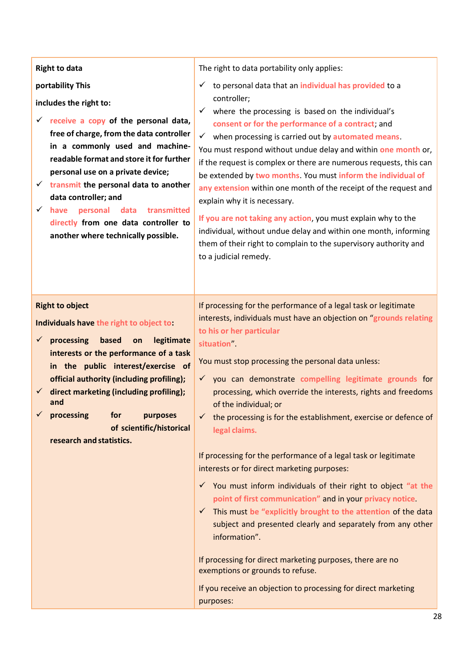| <b>Right to data</b><br>portability This<br>includes the right to:<br>$\checkmark$ receive a copy of the personal data,<br>free of charge, from the data controller<br>in a commonly used and machine-<br>readable format and store it for further                                                                                                                                                                 | The right to data portability only applies:<br>$\checkmark$ to personal data that an individual has provided to a<br>controller;<br>$\checkmark$ where the processing is based on the individual's<br>consent or for the performance of a contract; and<br>$\checkmark$ when processing is carried out by automated means.<br>You must respond without undue delay and within one month or,                                                                                                                                                                                                           |
|--------------------------------------------------------------------------------------------------------------------------------------------------------------------------------------------------------------------------------------------------------------------------------------------------------------------------------------------------------------------------------------------------------------------|-------------------------------------------------------------------------------------------------------------------------------------------------------------------------------------------------------------------------------------------------------------------------------------------------------------------------------------------------------------------------------------------------------------------------------------------------------------------------------------------------------------------------------------------------------------------------------------------------------|
| personal use on a private device;<br>$\checkmark$ transmit the personal data to another<br>data controller; and<br>$\checkmark$<br>personal data<br>have<br>transmitted<br>directly from one data controller to<br>another where technically possible.                                                                                                                                                             | if the request is complex or there are numerous requests, this can<br>be extended by two months. You must inform the individual of<br>any extension within one month of the receipt of the request and<br>explain why it is necessary.<br>If you are not taking any action, you must explain why to the<br>individual, without undue delay and within one month, informing<br>them of their right to complain to the supervisory authority and<br>to a judicial remedy.                                                                                                                               |
| <b>Right to object</b><br>Individuals have the right to object to:<br>processing<br>based<br>legitimate<br>$\checkmark$<br>on<br>interests or the performance of a task<br>in the public interest/exercise of<br>official authority (including profiling);<br>direct marketing (including profiling);<br>$\checkmark$<br>and<br>processing for<br>purposes<br>of scientific/historical<br>research and statistics. | If processing for the performance of a legal task or legitimate<br>interests, individuals must have an objection on "grounds relating<br>to his or her particular<br>situation".<br>You must stop processing the personal data unless:<br>you can demonstrate compelling legitimate grounds for<br>$\checkmark$<br>processing, which override the interests, rights and freedoms<br>of the individual; or<br>$\checkmark$ the processing is for the establishment, exercise or defence of<br>legal claims.                                                                                            |
|                                                                                                                                                                                                                                                                                                                                                                                                                    | If processing for the performance of a legal task or legitimate<br>interests or for direct marketing purposes:<br>$\checkmark$ You must inform individuals of their right to object "at the<br>point of first communication" and in your privacy notice<br>$\checkmark$ This must be "explicitly brought to the attention of the data<br>subject and presented clearly and separately from any other<br>information".<br>If processing for direct marketing purposes, there are no<br>exemptions or grounds to refuse.<br>If you receive an objection to processing for direct marketing<br>purposes: |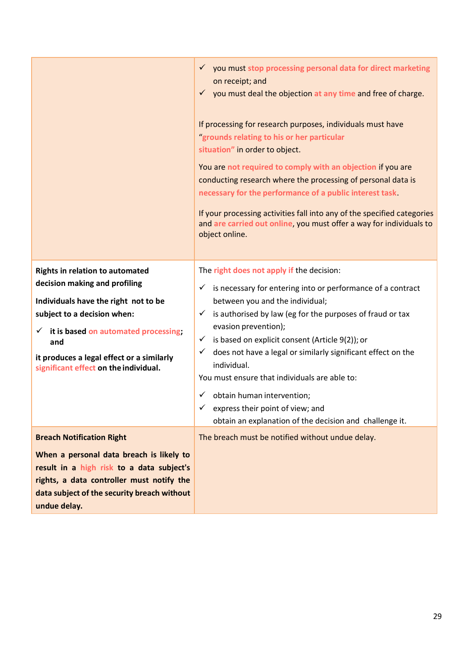|                                                                                                                                                                                                                                                                                                     | √ you must stop processing personal data for direct marketing<br>on receipt; and<br>$\checkmark$ you must deal the objection at any time and free of charge.<br>If processing for research purposes, individuals must have<br>'grounds relating to his or her particular<br>situation" in order to object.<br>You are not required to comply with an objection if you are<br>conducting research where the processing of personal data is<br>necessary for the performance of a public interest task<br>If your processing activities fall into any of the specified categories<br>and are carried out online, you must offer a way for individuals to<br>object online. |
|-----------------------------------------------------------------------------------------------------------------------------------------------------------------------------------------------------------------------------------------------------------------------------------------------------|--------------------------------------------------------------------------------------------------------------------------------------------------------------------------------------------------------------------------------------------------------------------------------------------------------------------------------------------------------------------------------------------------------------------------------------------------------------------------------------------------------------------------------------------------------------------------------------------------------------------------------------------------------------------------|
| <b>Rights in relation to automated</b><br>decision making and profiling<br>Individuals have the right not to be<br>subject to a decision when:<br>it is based on automated processing;<br>$\checkmark$<br>and<br>it produces a legal effect or a similarly<br>significant effect on the individual. | The right does not apply if the decision:<br>$\checkmark$ is necessary for entering into or performance of a contract<br>between you and the individual;<br>$\checkmark$ is authorised by law (eg for the purposes of fraud or tax<br>evasion prevention);<br>is based on explicit consent (Article 9(2)); or<br>$\checkmark$<br>does not have a legal or similarly significant effect on the<br>$\checkmark$<br>individual.<br>You must ensure that individuals are able to:<br>obtain human intervention;<br>$\checkmark$<br>express their point of view; and<br>✓<br>obtain an explanation of the decision and challenge it.                                          |
| <b>Breach Notification Right</b><br>When a personal data breach is likely to<br>result in a high risk to a data subject's<br>rights, a data controller must notify the<br>data subject of the security breach without<br>undue delay.                                                               | The breach must be notified without undue delay.                                                                                                                                                                                                                                                                                                                                                                                                                                                                                                                                                                                                                         |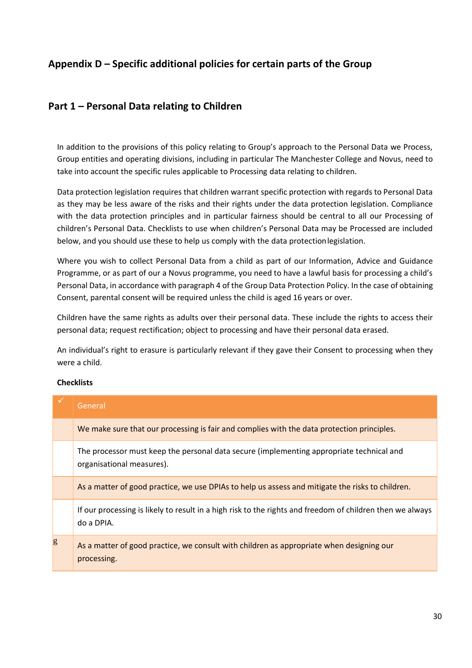## <span id="page-29-0"></span>**Appendix D – Specific additional policies for certain parts of the Group**

## **Part 1 – Personal Data relating to Children**

In addition to the provisions of this policy relating to Group's approach to the Personal Data we Process, Group entities and operating divisions, including in particular The Manchester College and Novus, need to take into account the specific rules applicable to Processing data relating to children.

Data protection legislation requires that children warrant specific protection with regards to Personal Data as they may be less aware of the risks and their rights under the data protection legislation. Compliance with the data protection principles and in particular fairness should be central to all our Processing of children's Personal Data. Checklists to use when children's Personal Data may be Processed are included below, and you should use these to help us comply with the data protectionlegislation.

Where you wish to collect Personal Data from a child as part of our Information, Advice and Guidance Programme, or as part of our a Novus programme, you need to have a lawful basis for processing a child's Personal Data, in accordance with paragraph 4 of the Group Data Protection Policy. In the case of obtaining Consent, parental consent will be required unless the child is aged 16 years or over.

Children have the same rights as adults over their personal data. These include the rights to access their personal data; request rectification; object to processing and have their personal data erased.

An individual's right to erasure is particularly relevant if they gave their Consent to processing when they were a child.

#### **Checklists**

|   | General                                                                                                                 |
|---|-------------------------------------------------------------------------------------------------------------------------|
|   | We make sure that our processing is fair and complies with the data protection principles.                              |
|   | The processor must keep the personal data secure (implementing appropriate technical and<br>organisational measures).   |
|   | As a matter of good practice, we use DPIAs to help us assess and mitigate the risks to children.                        |
|   | If our processing is likely to result in a high risk to the rights and freedom of children then we always<br>do a DPIA. |
| g | As a matter of good practice, we consult with children as appropriate when designing our<br>processing.                 |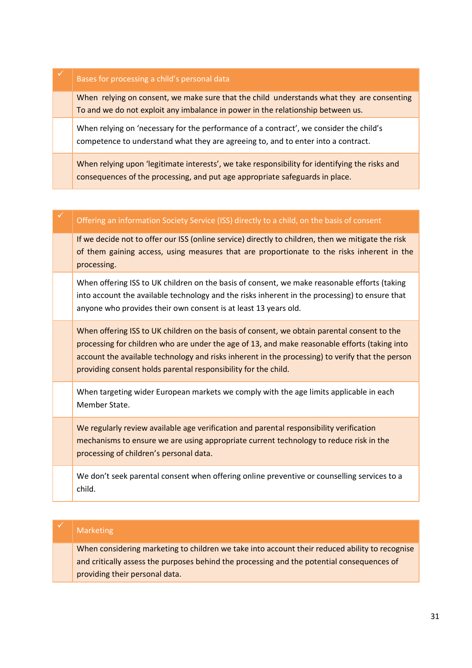| Bases for processing a child's personal data                                                                                                                                   |
|--------------------------------------------------------------------------------------------------------------------------------------------------------------------------------|
| When relying on consent, we make sure that the child understands what they are consenting<br>To and we do not exploit any imbalance in power in the relationship between us.   |
| When relying on 'necessary for the performance of a contract', we consider the child's<br>competence to understand what they are agreeing to, and to enter into a contract.    |
| When relying upon 'legitimate interests', we take responsibility for identifying the risks and<br>consequences of the processing, and put age appropriate safeguards in place. |

#### Offering an information Society Service (ISS) directly to a child, on the basis of consent

If we decide not to offer our ISS (online service) directly to children, then we mitigate the risk of them gaining access, using measures that are proportionate to the risks inherent in the processing.

When offering ISS to UK children on the basis of consent, we make reasonable efforts (taking into account the available technology and the risks inherent in the processing) to ensure that anyone who provides their own consent is at least 13 years old.

When offering ISS to UK children on the basis of consent, we obtain parental consent to the processing for children who are under the age of 13, and make reasonable efforts (taking into account the available technology and risks inherent in the processing) to verify that the person providing consent holds parental responsibility for the child.

When targeting wider European markets we comply with the age limits applicable in each Member State.

We regularly review available age verification and parental responsibility verification mechanisms to ensure we are using appropriate current technology to reduce risk in the processing of children's personal data.

We don't seek parental consent when offering online preventive or counselling services to a child.

#### **Marketing**

When considering marketing to children we take into account their reduced ability to recognise and critically assess the purposes behind the processing and the potential consequences of providing their personal data.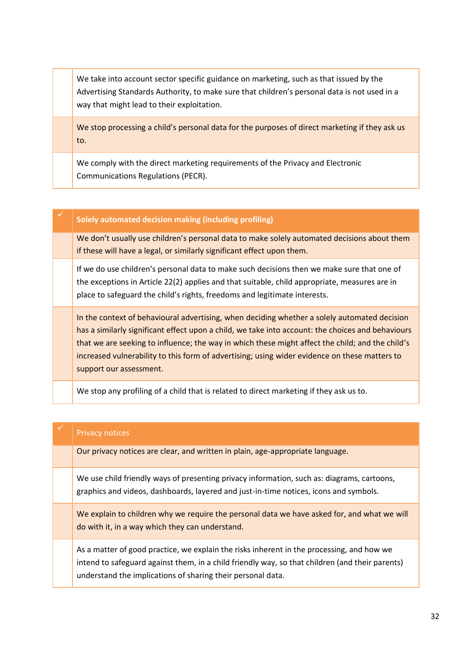We take into account sector specific guidance on marketing, such as that issued by the Advertising Standards Authority, to make sure that children's personal data is not used in a way that might lead to their exploitation.

We stop processing a child's personal data for the purposes of direct marketing if they ask us to.

We comply with the direct marketing requirements of the Privacy and Electronic Communications Regulations (PECR).

#### ✓ **Solely automated decision making (including profiling)**

We don't usually use children's personal data to make solely automated decisions about them if these will have a legal, or similarly significant effect upon them.

If we do use children's personal data to make such decisions then we make sure that one of the exceptions in Article 22(2) applies and that suitable, child appropriate, measures are in place to safeguard the child's rights, freedoms and legitimate interests.

In the context of behavioural advertising, when deciding whether a solely automated decision has a similarly significant effect upon a child, we take into account: the choices and behaviours that we are seeking to influence; the way in which these might affect the child; and the child's increased vulnerability to this form of advertising; using wider evidence on these matters to support our assessment.

We stop any profiling of a child that is related to direct marketing if they ask us to.

#### Privacy notices

Our privacy notices are clear, and written in plain, age-appropriate language.

We use child friendly ways of presenting privacy information, such as: diagrams, cartoons, graphics and videos, dashboards, layered and just-in-time notices, icons and symbols.

We explain to children why we require the personal data we have asked for, and what we will do with it, in a way which they can understand.

As a matter of good practice, we explain the risks inherent in the processing, and how we intend to safeguard against them, in a child friendly way, so that children (and their parents) understand the implications of sharing their personal data.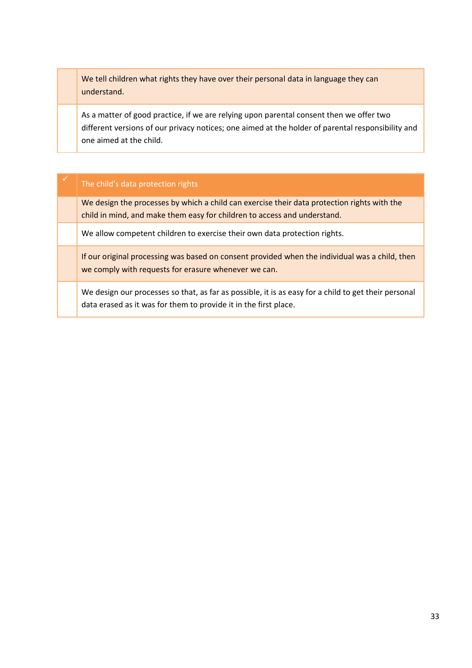We tell children what rights they have over their personal data in language they can understand.

As a matter of good practice, if we are relying upon parental consent then we offer two different versions of our privacy notices; one aimed at the holder of parental responsibility and one aimed at the child.

#### The child's data protection rights

We design the processes by which a child can exercise their data protection rights with the child in mind, and make them easy for children to access and understand.

We allow competent children to exercise their own data protection rights.

If our original processing was based on consent provided when the individual was a child, then we comply with requests for erasure whenever we can.

We design our processes so that, as far as possible, it is as easy for a child to get their personal data erased as it was for them to provide it in the first place.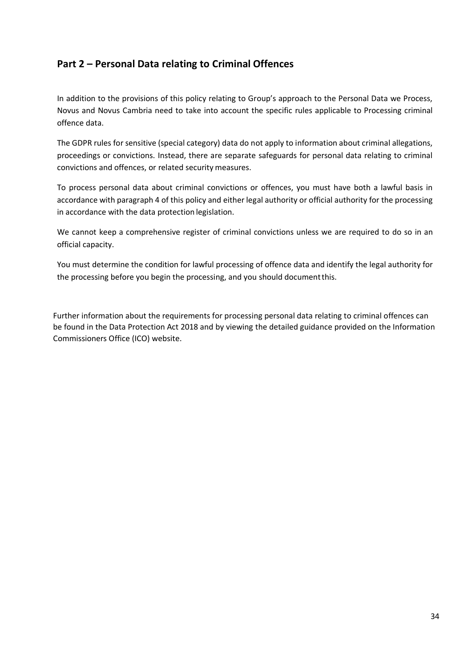## **Part 2 – Personal Data relating to Criminal Offences**

In addition to the provisions of this policy relating to Group's approach to the Personal Data we Process, Novus and Novus Cambria need to take into account the specific rules applicable to Processing criminal offence data.

The GDPR rules for sensitive (special category) data do not apply to information about criminal allegations, proceedings or convictions. Instead, there are separate safeguards for personal data relating to criminal convictions and offences, or related security measures.

To process personal data about criminal convictions or offences, you must have both a lawful basis in accordance with paragraph 4 of this policy and either legal authority or official authority for the processing in accordance with the data protection legislation.

We cannot keep a comprehensive register of criminal convictions unless we are required to do so in an official capacity.

You must determine the condition for lawful processing of offence data and identify the legal authority for the processing before you begin the processing, and you should documentthis.

Further information about the requirements for processing personal data relating to criminal offences can be found in the Data Protection Act 2018 and by viewing the detailed guidance provided on the Information Commissioners Office (ICO) website.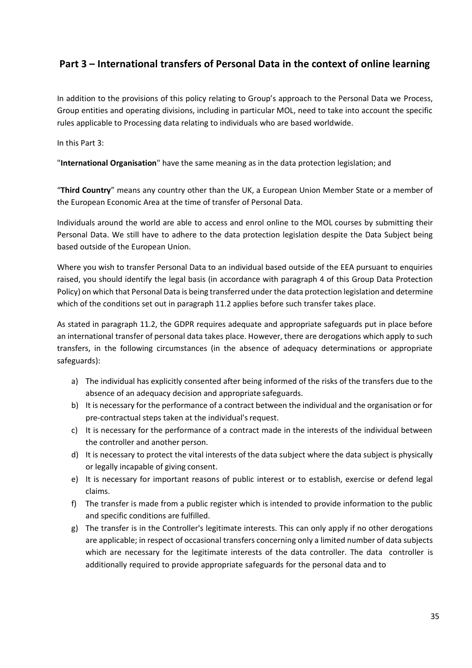## **Part 3 – International transfers of Personal Data in the context of online learning**

In addition to the provisions of this policy relating to Group's approach to the Personal Data we Process, Group entities and operating divisions, including in particular MOL, need to take into account the specific rules applicable to Processing data relating to individuals who are based worldwide.

In this Part 3:

"**International Organisation**" have the same meaning as in the data protection legislation; and

"**Third Country**" means any country other than the UK, a European Union Member State or a member of the European Economic Area at the time of transfer of Personal Data.

Individuals around the world are able to access and enrol online to the MOL courses by submitting their Personal Data. We still have to adhere to the data protection legislation despite the Data Subject being based outside of the European Union.

Where you wish to transfer Personal Data to an individual based outside of the EEA pursuant to enquiries raised, you should identify the legal basis (in accordance with paragraph 4 of this Group Data Protection Policy) on which that Personal Data is being transferred under the data protection legislation and determine which of the conditions set out in paragraph 11.2 applies before such transfer takes place.

As stated in paragraph 11.2, the GDPR requires adequate and appropriate safeguards put in place before an international transfer of personal data takes place. However, there are derogations which apply to such transfers, in the following circumstances (in the absence of adequacy determinations or appropriate safeguards):

- a) The individual has explicitly consented after being informed of the risks of the transfers due to the absence of an adequacy decision and appropriate safeguards.
- b) It is necessary for the performance of a contract between the individual and the organisation or for pre-contractual steps taken at the individual's request.
- c) It is necessary for the performance of a contract made in the interests of the individual between the controller and another person.
- d) It is necessary to protect the vital interests of the data subject where the data subject is physically or legally incapable of giving consent.
- e) It is necessary for important reasons of public interest or to establish, exercise or defend legal claims.
- f) The transfer is made from a public register which is intended to provide information to the public and specific conditions are fulfilled.
- g) The transfer is in the Controller's legitimate interests. This can only apply if no other derogations are applicable; in respect of occasional transfers concerning only a limited number of data subjects which are necessary for the legitimate interests of the data controller. The data controller is additionally required to provide appropriate safeguards for the personal data and to